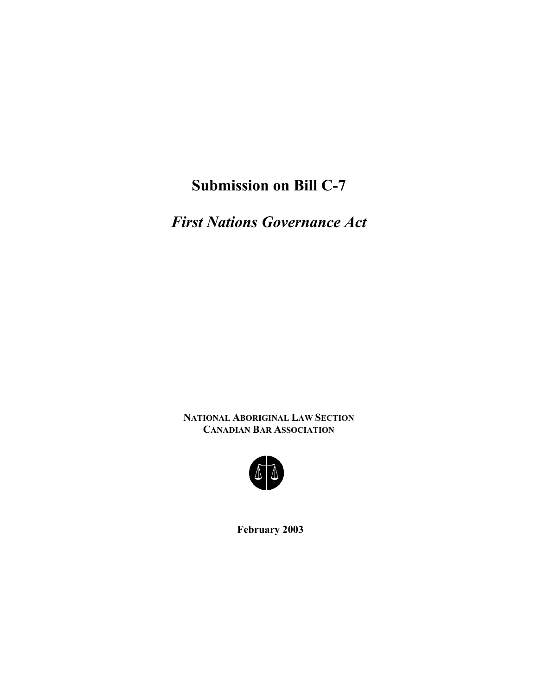## **Submission on Bill C-7**

*First Nations Governance Act* 

**NATIONAL ABORIGINAL LAW SECTION CANADIAN BAR ASSOCIATION** 



**February 2003**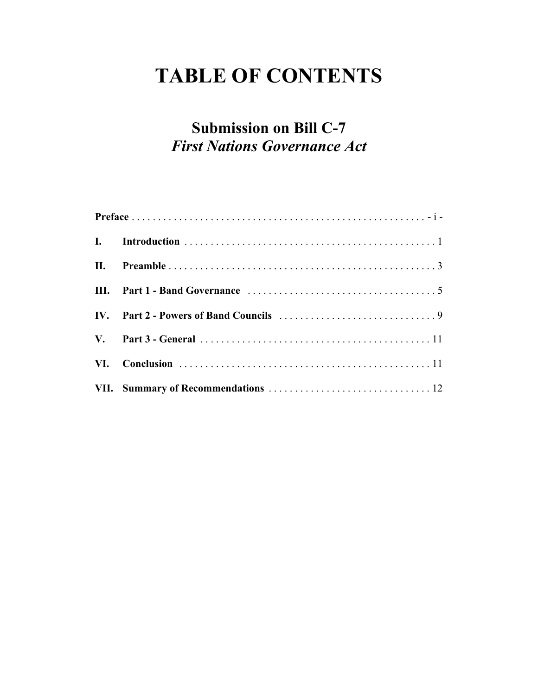# **TABLE OF CONTENTS**

## **Submission on Bill C-7**  *First Nations Governance Act*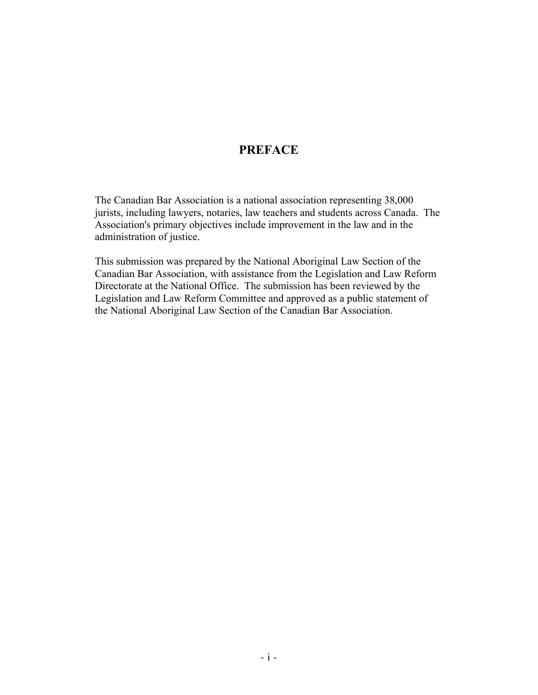### **PREFACE**

The Canadian Bar Association is a national association representing 38,000 jurists, including lawyers, notaries, law teachers and students across Canada. The Association's primary objectives include improvement in the law and in the administration of justice.

This submission was prepared by the National Aboriginal Law Section of the Canadian Bar Association, with assistance from the Legislation and Law Reform Directorate at the National Office. The submission has been reviewed by the Legislation and Law Reform Committee and approved as a public statement of the National Aboriginal Law Section of the Canadian Bar Association.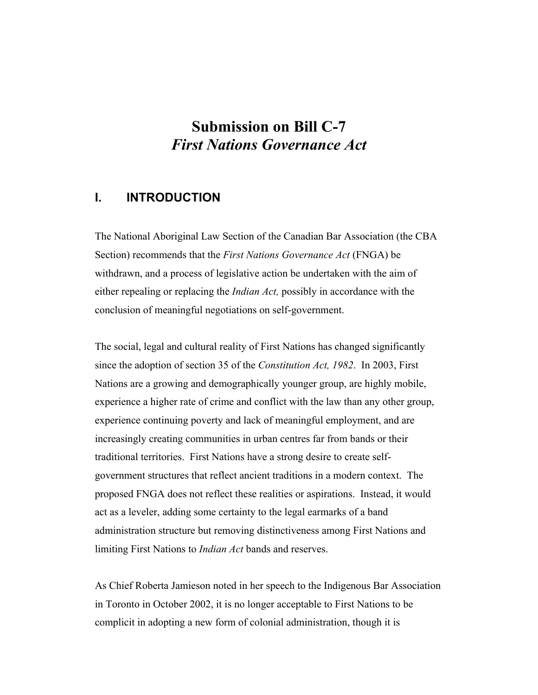## **Submission on Bill C-7**  *First Nations Governance Act*

### **I. INTRODUCTION**

The National Aboriginal Law Section of the Canadian Bar Association (the CBA Section) recommends that the *First Nations Governance Act* (FNGA) be withdrawn, and a process of legislative action be undertaken with the aim of either repealing or replacing the *Indian Act,* possibly in accordance with the conclusion of meaningful negotiations on self-government.

The social, legal and cultural reality of First Nations has changed significantly since the adoption of section 35 of the *Constitution Act, 1982*. In 2003, First Nations are a growing and demographically younger group, are highly mobile, experience a higher rate of crime and conflict with the law than any other group, experience continuing poverty and lack of meaningful employment, and are increasingly creating communities in urban centres far from bands or their traditional territories. First Nations have a strong desire to create selfgovernment structures that reflect ancient traditions in a modern context. The proposed FNGA does not reflect these realities or aspirations. Instead, it would act as a leveler, adding some certainty to the legal earmarks of a band administration structure but removing distinctiveness among First Nations and limiting First Nations to *Indian Act* bands and reserves.

As Chief Roberta Jamieson noted in her speech to the Indigenous Bar Association in Toronto in October 2002, it is no longer acceptable to First Nations to be complicit in adopting a new form of colonial administration, though it is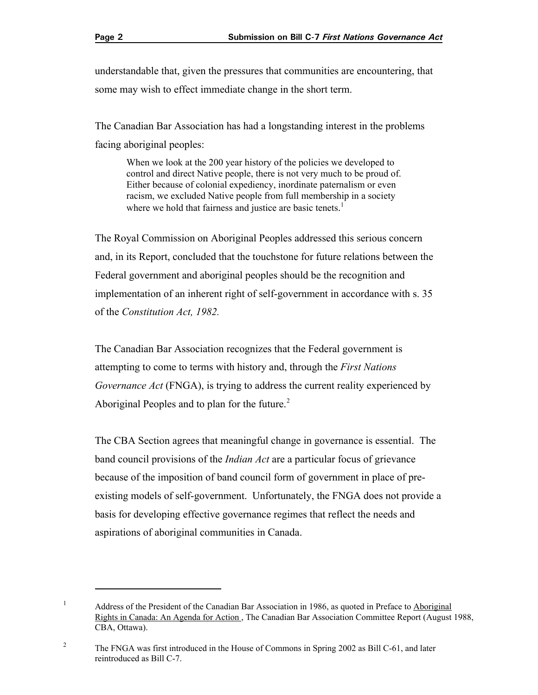understandable that, given the pressures that communities are encountering, that some may wish to effect immediate change in the short term.

The Canadian Bar Association has had a longstanding interest in the problems facing aboriginal peoples:

When we look at the 200 year history of the policies we developed to control and direct Native people, there is not very much to be proud of. Either because of colonial expediency, inordinate paternalism or even racism, we excluded Native people from full membership in a society where we hold that fairness and justice are basic tenets.<sup>1</sup>

The Royal Commission on Aboriginal Peoples addressed this serious concern and, in its Report, concluded that the touchstone for future relations between the Federal government and aboriginal peoples should be the recognition and implementation of an inherent right of self-government in accordance with s. 35 of the *Constitution Act, 1982.* 

The Canadian Bar Association recognizes that the Federal government is attempting to come to terms with history and, through the *First Nations Governance Act* (FNGA), is trying to address the current reality experienced by Aboriginal Peoples and to plan for the future.<sup>2</sup>

The CBA Section agrees that meaningful change in governance is essential. The band council provisions of the *Indian Act* are a particular focus of grievance because of the imposition of band council form of government in place of preexisting models of self-government. Unfortunately, the FNGA does not provide a basis for developing effective governance regimes that reflect the needs and aspirations of aboriginal communities in Canada.

<sup>&</sup>lt;sup>1</sup> Address of the President of the Canadian Bar Association in 1986, as quoted in Preface to Aboriginal Rights in Canada: An Agenda for Action., The Canadian Bar Association Committee Report (August 1988, CBA, Ottawa).

<sup>&</sup>lt;sup>2</sup> The FNGA was first introduced in the House of Commons in Spring 2002 as Bill C-61, and later reintroduced as Bill C-7.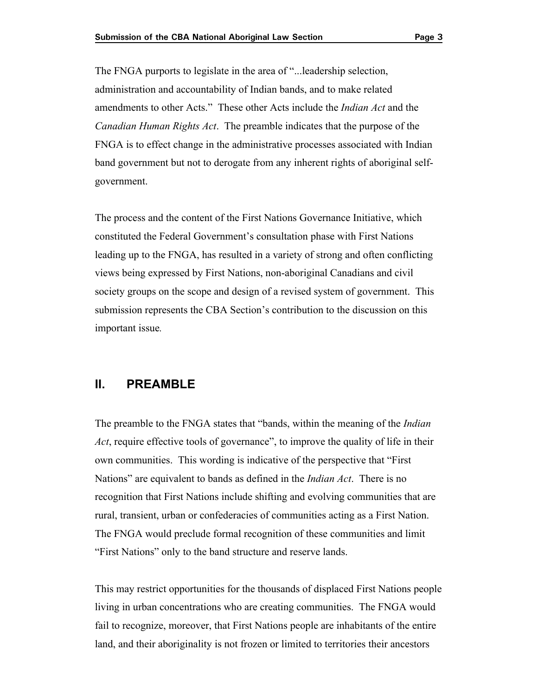The FNGA purports to legislate in the area of "...leadership selection, administration and accountability of Indian bands, and to make related amendments to other Acts." These other Acts include the *Indian Act* and the *Canadian Human Rights Act*. The preamble indicates that the purpose of the FNGA is to effect change in the administrative processes associated with Indian band government but not to derogate from any inherent rights of aboriginal selfgovernment.

The process and the content of the First Nations Governance Initiative, which constituted the Federal Government's consultation phase with First Nations leading up to the FNGA, has resulted in a variety of strong and often conflicting views being expressed by First Nations, non-aboriginal Canadians and civil society groups on the scope and design of a revised system of government. This submission represents the CBA Section's contribution to the discussion on this important issue*.* 

### **II. PREAMBLE**

The preamble to the FNGA states that "bands, within the meaning of the *Indian Act*, require effective tools of governance", to improve the quality of life in their own communities. This wording is indicative of the perspective that "First Nations" are equivalent to bands as defined in the *Indian Act*. There is no recognition that First Nations include shifting and evolving communities that are rural, transient, urban or confederacies of communities acting as a First Nation. The FNGA would preclude formal recognition of these communities and limit "First Nations" only to the band structure and reserve lands.

This may restrict opportunities for the thousands of displaced First Nations people living in urban concentrations who are creating communities. The FNGA would fail to recognize, moreover, that First Nations people are inhabitants of the entire land, and their aboriginality is not frozen or limited to territories their ancestors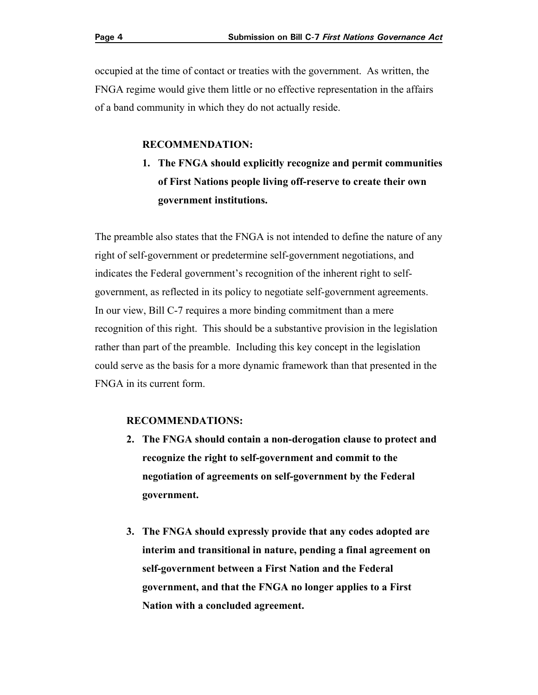occupied at the time of contact or treaties with the government. As written, the FNGA regime would give them little or no effective representation in the affairs of a band community in which they do not actually reside.

#### **RECOMMENDATION:**

**1. The FNGA should explicitly recognize and permit communities of First Nations people living off-reserve to create their own government institutions.** 

The preamble also states that the FNGA is not intended to define the nature of any right of self-government or predetermine self-government negotiations, and indicates the Federal government's recognition of the inherent right to selfgovernment, as reflected in its policy to negotiate self-government agreements. In our view, Bill C-7 requires a more binding commitment than a mere recognition of this right. This should be a substantive provision in the legislation rather than part of the preamble. Including this key concept in the legislation could serve as the basis for a more dynamic framework than that presented in the FNGA in its current form.

#### **RECOMMENDATIONS:**

- **2. The FNGA should contain a non-derogation clause to protect and recognize the right to self-government and commit to the negotiation of agreements on self-government by the Federal government.**
- **3. The FNGA should expressly provide that any codes adopted are interim and transitional in nature, pending a final agreement on self-government between a First Nation and the Federal government, and that the FNGA no longer applies to a First Nation with a concluded agreement.**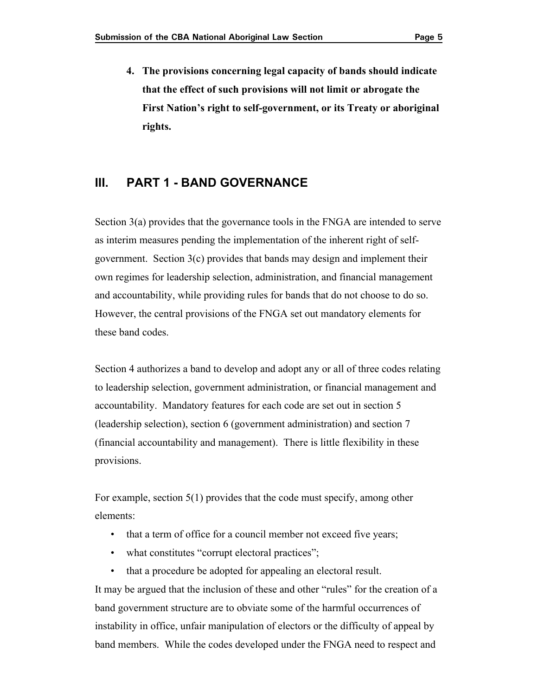**4. The provisions concerning legal capacity of bands should indicate that the effect of such provisions will not limit or abrogate the First Nation's right to self-government, or its Treaty or aboriginal rights.** 

## **III. PART 1 - BAND GOVERNANCE**

Section 3(a) provides that the governance tools in the FNGA are intended to serve as interim measures pending the implementation of the inherent right of selfgovernment. Section 3(c) provides that bands may design and implement their own regimes for leadership selection, administration, and financial management and accountability, while providing rules for bands that do not choose to do so. However, the central provisions of the FNGA set out mandatory elements for these band codes.

Section 4 authorizes a band to develop and adopt any or all of three codes relating to leadership selection, government administration, or financial management and accountability. Mandatory features for each code are set out in section 5 (leadership selection), section 6 (government administration) and section 7 (financial accountability and management). There is little flexibility in these provisions.

For example, section 5(1) provides that the code must specify, among other elements:

- that a term of office for a council member not exceed five years;
- what constitutes "corrupt electoral practices";
- that a procedure be adopted for appealing an electoral result.

It may be argued that the inclusion of these and other "rules" for the creation of a band government structure are to obviate some of the harmful occurrences of instability in office, unfair manipulation of electors or the difficulty of appeal by band members. While the codes developed under the FNGA need to respect and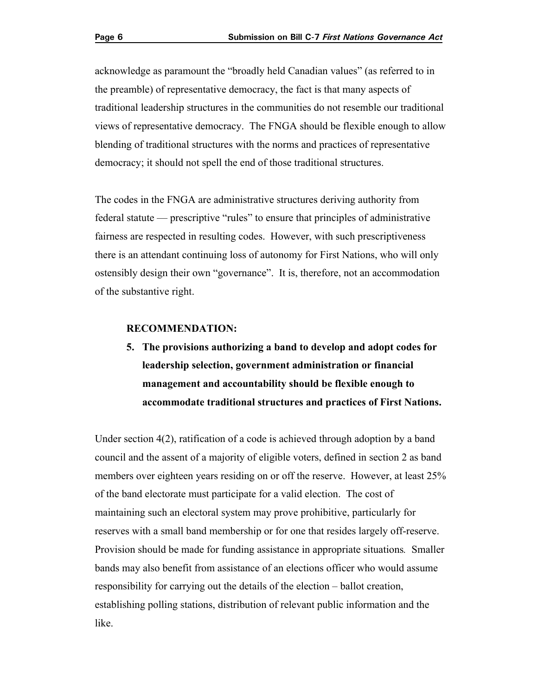acknowledge as paramount the "broadly held Canadian values" (as referred to in the preamble) of representative democracy, the fact is that many aspects of traditional leadership structures in the communities do not resemble our traditional views of representative democracy. The FNGA should be flexible enough to allow blending of traditional structures with the norms and practices of representative democracy; it should not spell the end of those traditional structures.

The codes in the FNGA are administrative structures deriving authority from federal statute — prescriptive "rules" to ensure that principles of administrative fairness are respected in resulting codes. However, with such prescriptiveness there is an attendant continuing loss of autonomy for First Nations, who will only ostensibly design their own "governance". It is, therefore, not an accommodation of the substantive right.

#### **RECOMMENDATION:**

**5. The provisions authorizing a band to develop and adopt codes for leadership selection, government administration or financial management and accountability should be flexible enough to accommodate traditional structures and practices of First Nations.** 

Under section 4(2), ratification of a code is achieved through adoption by a band council and the assent of a majority of eligible voters, defined in section 2 as band members over eighteen years residing on or off the reserve. However, at least 25% of the band electorate must participate for a valid election. The cost of maintaining such an electoral system may prove prohibitive, particularly for reserves with a small band membership or for one that resides largely off-reserve. Provision should be made for funding assistance in appropriate situations*.* Smaller bands may also benefit from assistance of an elections officer who would assume responsibility for carrying out the details of the election – ballot creation, establishing polling stations, distribution of relevant public information and the like.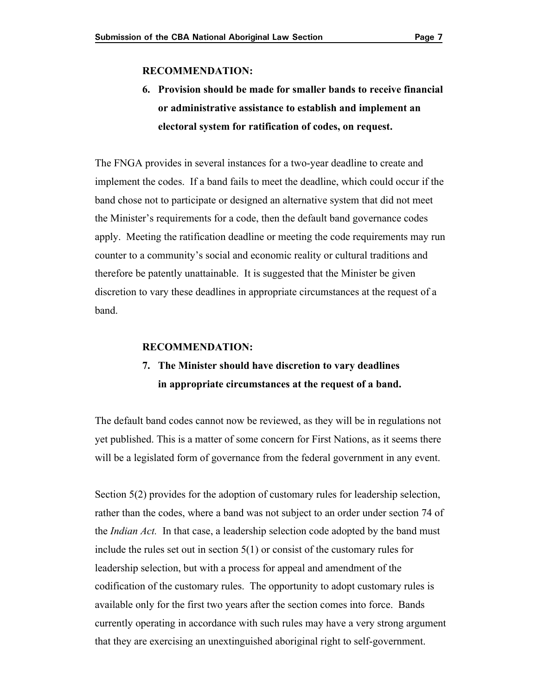#### **RECOMMENDATION:**

## **6. Provision should be made for smaller bands to receive financial or administrative assistance to establish and implement an electoral system for ratification of codes, on request.**

The FNGA provides in several instances for a two-year deadline to create and implement the codes. If a band fails to meet the deadline, which could occur if the band chose not to participate or designed an alternative system that did not meet the Minister's requirements for a code, then the default band governance codes apply. Meeting the ratification deadline or meeting the code requirements may run counter to a community's social and economic reality or cultural traditions and therefore be patently unattainable. It is suggested that the Minister be given discretion to vary these deadlines in appropriate circumstances at the request of a band.

#### **RECOMMENDATION:**

## **7. The Minister should have discretion to vary deadlines in appropriate circumstances at the request of a band.**

The default band codes cannot now be reviewed, as they will be in regulations not yet published. This is a matter of some concern for First Nations, as it seems there will be a legislated form of governance from the federal government in any event.

Section 5(2) provides for the adoption of customary rules for leadership selection, rather than the codes, where a band was not subject to an order under section 74 of the *Indian Act.* In that case, a leadership selection code adopted by the band must include the rules set out in section 5(1) or consist of the customary rules for leadership selection, but with a process for appeal and amendment of the codification of the customary rules. The opportunity to adopt customary rules is available only for the first two years after the section comes into force. Bands currently operating in accordance with such rules may have a very strong argument that they are exercising an unextinguished aboriginal right to self-government.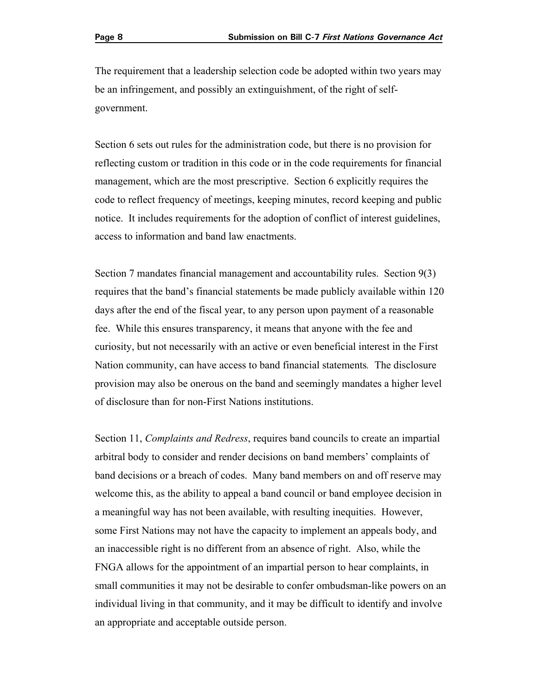The requirement that a leadership selection code be adopted within two years may be an infringement, and possibly an extinguishment, of the right of selfgovernment.

Section 6 sets out rules for the administration code, but there is no provision for reflecting custom or tradition in this code or in the code requirements for financial management, which are the most prescriptive. Section 6 explicitly requires the code to reflect frequency of meetings, keeping minutes, record keeping and public notice. It includes requirements for the adoption of conflict of interest guidelines, access to information and band law enactments.

Section 7 mandates financial management and accountability rules. Section 9(3) requires that the band's financial statements be made publicly available within 120 days after the end of the fiscal year, to any person upon payment of a reasonable fee. While this ensures transparency, it means that anyone with the fee and curiosity, but not necessarily with an active or even beneficial interest in the First Nation community, can have access to band financial statements*.* The disclosure provision may also be onerous on the band and seemingly mandates a higher level of disclosure than for non-First Nations institutions.

Section 11, *Complaints and Redress*, requires band councils to create an impartial arbitral body to consider and render decisions on band members' complaints of band decisions or a breach of codes. Many band members on and off reserve may welcome this, as the ability to appeal a band council or band employee decision in a meaningful way has not been available, with resulting inequities. However, some First Nations may not have the capacity to implement an appeals body, and an inaccessible right is no different from an absence of right. Also, while the FNGA allows for the appointment of an impartial person to hear complaints, in small communities it may not be desirable to confer ombudsman-like powers on an individual living in that community, and it may be difficult to identify and involve an appropriate and acceptable outside person.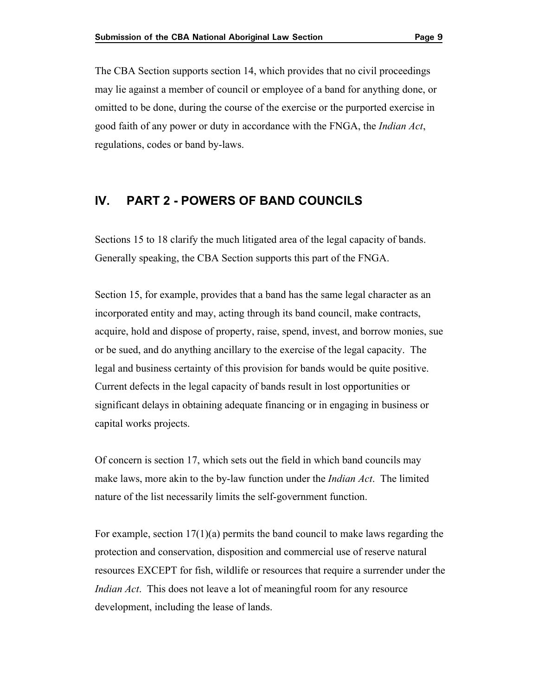The CBA Section supports section 14, which provides that no civil proceedings may lie against a member of council or employee of a band for anything done, or omitted to be done, during the course of the exercise or the purported exercise in good faith of any power or duty in accordance with the FNGA, the *Indian Act*, regulations, codes or band by-laws.

## **IV. PART 2 - POWERS OF BAND COUNCILS**

Sections 15 to 18 clarify the much litigated area of the legal capacity of bands. Generally speaking, the CBA Section supports this part of the FNGA.

Section 15, for example, provides that a band has the same legal character as an incorporated entity and may, acting through its band council, make contracts, acquire, hold and dispose of property, raise, spend, invest, and borrow monies, sue or be sued, and do anything ancillary to the exercise of the legal capacity. The legal and business certainty of this provision for bands would be quite positive. Current defects in the legal capacity of bands result in lost opportunities or significant delays in obtaining adequate financing or in engaging in business or capital works projects.

Of concern is section 17, which sets out the field in which band councils may make laws, more akin to the by-law function under the *Indian Act*. The limited nature of the list necessarily limits the self-government function.

For example, section 17(1)(a) permits the band council to make laws regarding the protection and conservation, disposition and commercial use of reserve natural resources EXCEPT for fish, wildlife or resources that require a surrender under the *Indian Act*. This does not leave a lot of meaningful room for any resource development, including the lease of lands.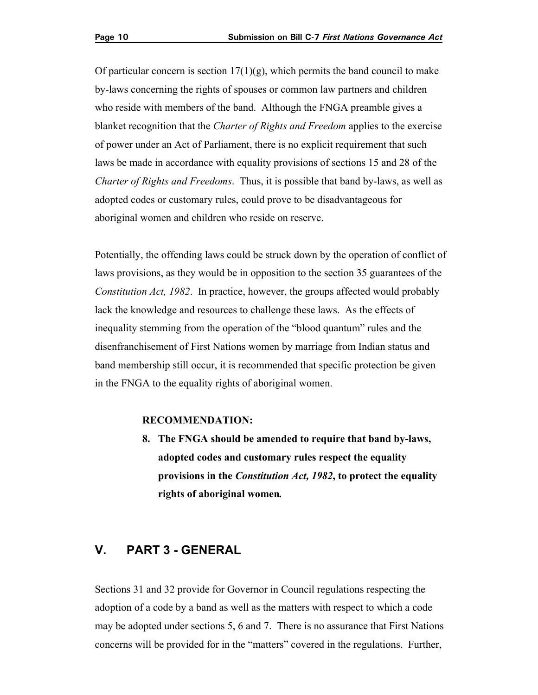Of particular concern is section  $17(1)(g)$ , which permits the band council to make by-laws concerning the rights of spouses or common law partners and children who reside with members of the band. Although the FNGA preamble gives a blanket recognition that the *Charter of Rights and Freedom* applies to the exercise of power under an Act of Parliament, there is no explicit requirement that such laws be made in accordance with equality provisions of sections 15 and 28 of the *Charter of Rights and Freedoms*. Thus, it is possible that band by-laws, as well as adopted codes or customary rules, could prove to be disadvantageous for aboriginal women and children who reside on reserve.

Potentially, the offending laws could be struck down by the operation of conflict of laws provisions, as they would be in opposition to the section 35 guarantees of the *Constitution Act, 1982*. In practice, however, the groups affected would probably lack the knowledge and resources to challenge these laws. As the effects of inequality stemming from the operation of the "blood quantum" rules and the disenfranchisement of First Nations women by marriage from Indian status and band membership still occur, it is recommended that specific protection be given in the FNGA to the equality rights of aboriginal women.

#### **RECOMMENDATION:**

**8. The FNGA should be amended to require that band by-laws, adopted codes and customary rules respect the equality provisions in the** *Constitution Act, 1982***, to protect the equality rights of aboriginal women***.* 

## **V. PART 3 - GENERAL**

Sections 31 and 32 provide for Governor in Council regulations respecting the adoption of a code by a band as well as the matters with respect to which a code may be adopted under sections 5, 6 and 7. There is no assurance that First Nations concerns will be provided for in the "matters" covered in the regulations. Further,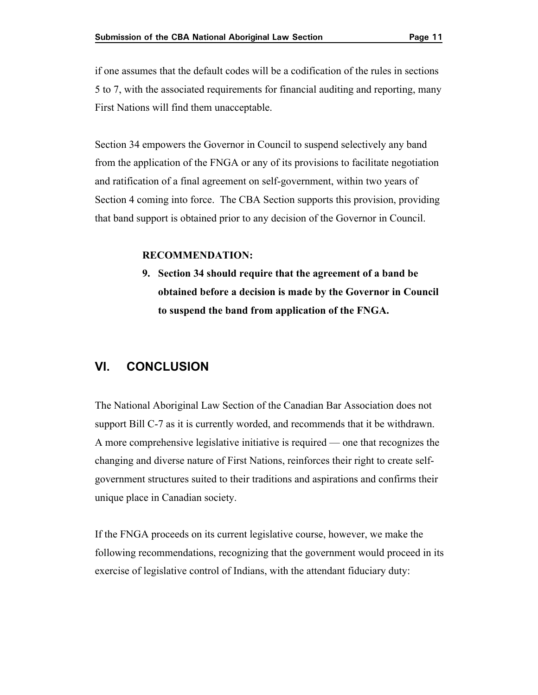if one assumes that the default codes will be a codification of the rules in sections 5 to 7, with the associated requirements for financial auditing and reporting, many First Nations will find them unacceptable.

 Section 4 coming into force. The CBA Section supports this provision, providing Section 34 empowers the Governor in Council to suspend selectively any band from the application of the FNGA or any of its provisions to facilitate negotiation and ratification of a final agreement on self-government, within two years of that band support is obtained prior to any decision of the Governor in Council.

#### **RECOMMENDATION:**

**9. Section 34 should require that the agreement of a band be obtained before a decision is made by the Governor in Council to suspend the band from application of the FNGA.** 

### **VI. CONCLUSION**

The National Aboriginal Law Section of the Canadian Bar Association does not support Bill C-7 as it is currently worded, and recommends that it be withdrawn. A more comprehensive legislative initiative is required — one that recognizes the changing and diverse nature of First Nations, reinforces their right to create selfgovernment structures suited to their traditions and aspirations and confirms their unique place in Canadian society.

If the FNGA proceeds on its current legislative course, however, we make the following recommendations, recognizing that the government would proceed in its exercise of legislative control of Indians, with the attendant fiduciary duty: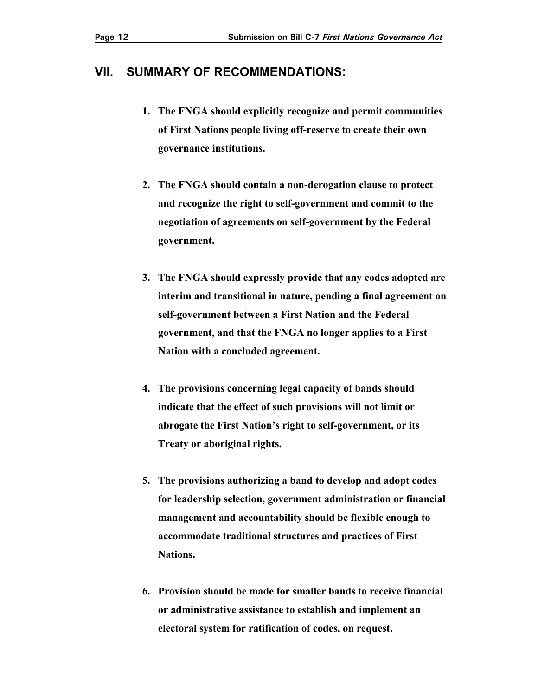## **VII. SUMMARY OF RECOMMENDATIONS:**

- **1. The FNGA should explicitly recognize and permit communities of First Nations people living off-reserve to create their own governance institutions.**
- **2. The FNGA should contain a non-derogation clause to protect and recognize the right to self-government and commit to the negotiation of agreements on self-government by the Federal government.**
- **3. The FNGA should expressly provide that any codes adopted are interim and transitional in nature, pending a final agreement on self-government between a First Nation and the Federal government, and that the FNGA no longer applies to a First Nation with a concluded agreement.**
- **4. The provisions concerning legal capacity of bands should indicate that the effect of such provisions will not limit or abrogate the First Nation's right to self-government, or its Treaty or aboriginal rights.**
- **5. The provisions authorizing a band to develop and adopt codes for leadership selection, government administration or financial management and accountability should be flexible enough to accommodate traditional structures and practices of First Nations.**
- **6. Provision should be made for smaller bands to receive financial or administrative assistance to establish and implement an electoral system for ratification of codes, on request.**